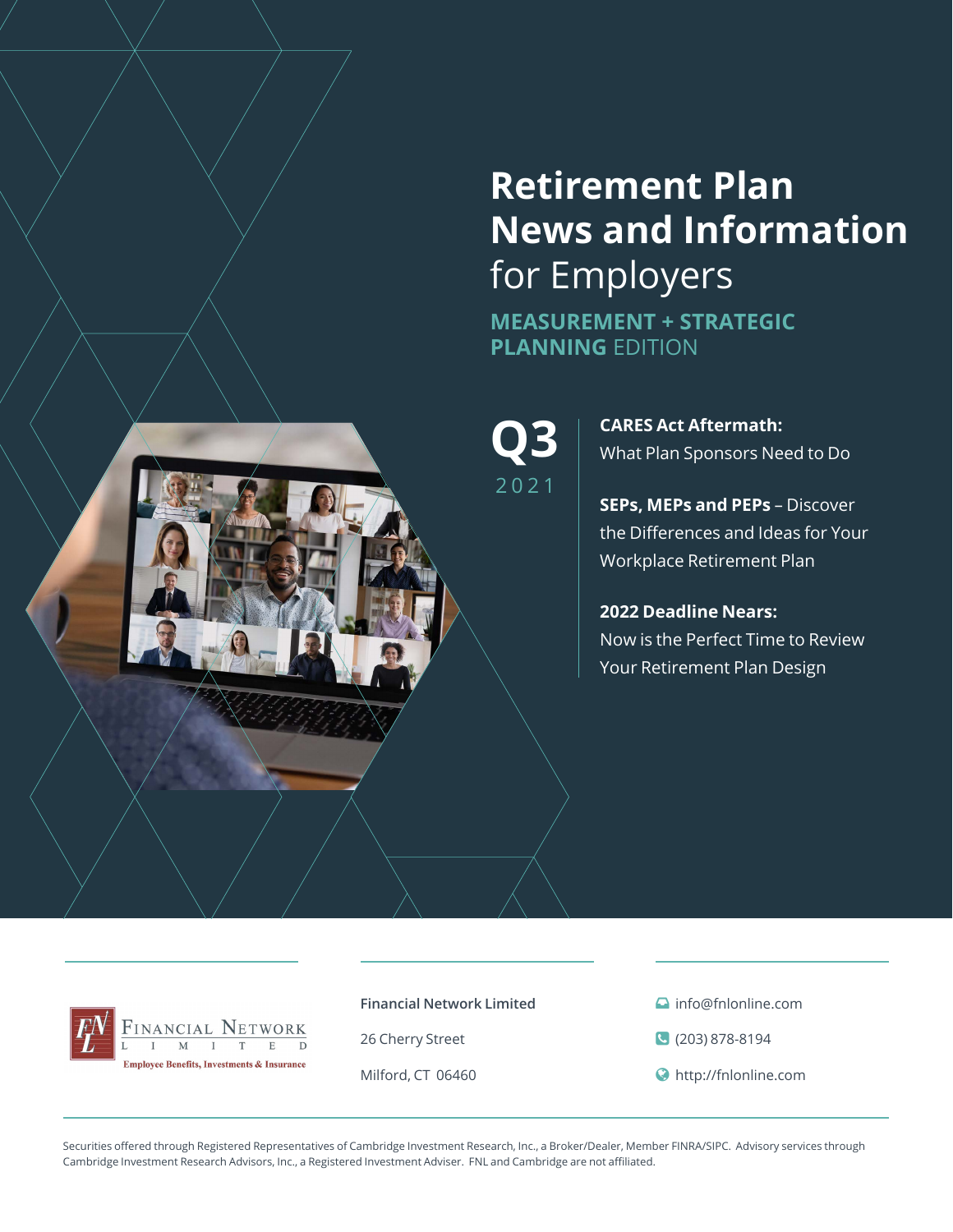# **Retirement Plan News and Information**  for Employers

**MEASUREMENT + STRATEGIC PLANNING** EDITION

2021

**Q3**  $\mathbf{R}$  CARES Act Aftermath:<br>
What Plan Sponsors Need to Do

**SEPs, MEPs and PEPs** – Discover the Differences and Ideas for Your Workplace Retirement Plan

**2022 Deadline Nears:**  Now is the Perfect Time to Review Your Retirement Plan Design



**Financial Network Limited**

26 Cherry Street

Milford, CT 06460

- **a** info@fnlonline.com
- (203) 878-8194
- http://fnlonline.com

Securities offered through Registered Representatives of Cambridge Investment Research, Inc., a Broker/Dealer, Member FINRA/SIPC. Advisory services through Cambridge Investment Research Advisors, Inc., a Registered Investment Adviser. FNL and Cambridge are not affiliated.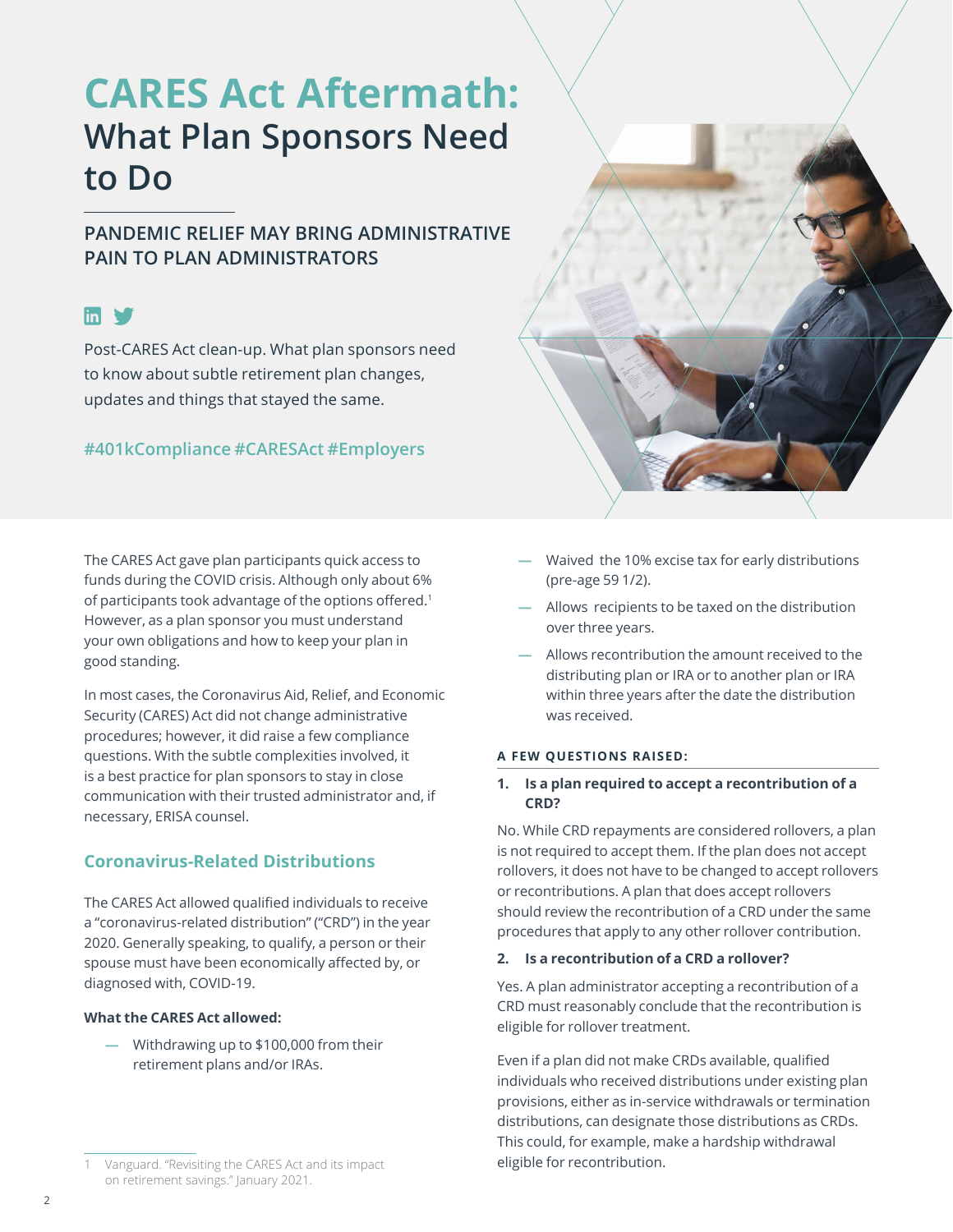# **CARES Act Aftermath: What Plan Sponsors Need to Do**

## **PANDEMIC RELIEF MAY BRING ADMINISTRATIVE PAIN TO PLAN ADMINISTRATORS**

## $\mathsf{fin}$   $\blacktriangleright$

Post-CARES Act clean-up. What plan sponsors need to know about subtle retirement plan changes, updates and things that stayed the same.

## **#401kCompliance #CARESAct #Employers**

The CARES Act gave plan participants quick access to funds during the COVID crisis. Although only about 6% of participants took advantage of the options offered.<sup>1</sup> However, as a plan sponsor you must understand your own obligations and how to keep your plan in good standing.

In most cases, the Coronavirus Aid, Relief, and Economic Security (CARES) Act did not change administrative procedures; however, it did raise a few compliance questions. With the subtle complexities involved, it is a best practice for plan sponsors to stay in close communication with their trusted administrator and, if necessary, ERISA counsel.

### **Coronavirus-Related Distributions**

The CARES Act allowed qualified individuals to receive a "coronavirus-related distribution" ("CRD") in the year 2020. Generally speaking, to qualify, a person or their spouse must have been economically affected by, or diagnosed with, COVID-19.

#### **What the CARES Act allowed:**

**—** Withdrawing up to \$100,000 from their retirement plans and/or IRAs.

- **—** Allows recipients to be taxed on the distribution over three years.
- **—** Allows recontribution the amount received to the distributing plan or IRA or to another plan or IRA within three years after the date the distribution was received.

#### **A FEW QUESTIONS RAISED:**

#### **1. Is a plan required to accept a recontribution of a CRD?**

No. While CRD repayments are considered rollovers, a plan is not required to accept them. If the plan does not accept rollovers, it does not have to be changed to accept rollovers or recontributions. A plan that does accept rollovers should review the recontribution of a CRD under the same procedures that apply to any other rollover contribution.

#### **2. Is a recontribution of a CRD a rollover?**

Yes. A plan administrator accepting a recontribution of a CRD must reasonably conclude that the recontribution is eligible for rollover treatment.

Even if a plan did not make CRDs available, qualified individuals who received distributions under existing plan provisions, either as in-service withdrawals or termination distributions, can designate those distributions as CRDs. This could, for example, make a hardship withdrawal eligible for recontribution.

**<sup>—</sup>** Waived the 10% excise tax for early distributions (pre-age 59 1/2).

Vanguard. "Revisiting the CARES Act and its impact [on retirement savings." January 2021.](https://institutional.vanguard.com/VGApp/iip/site/institutional/researchcommentary/article/InvComRevisitCARESActImpact)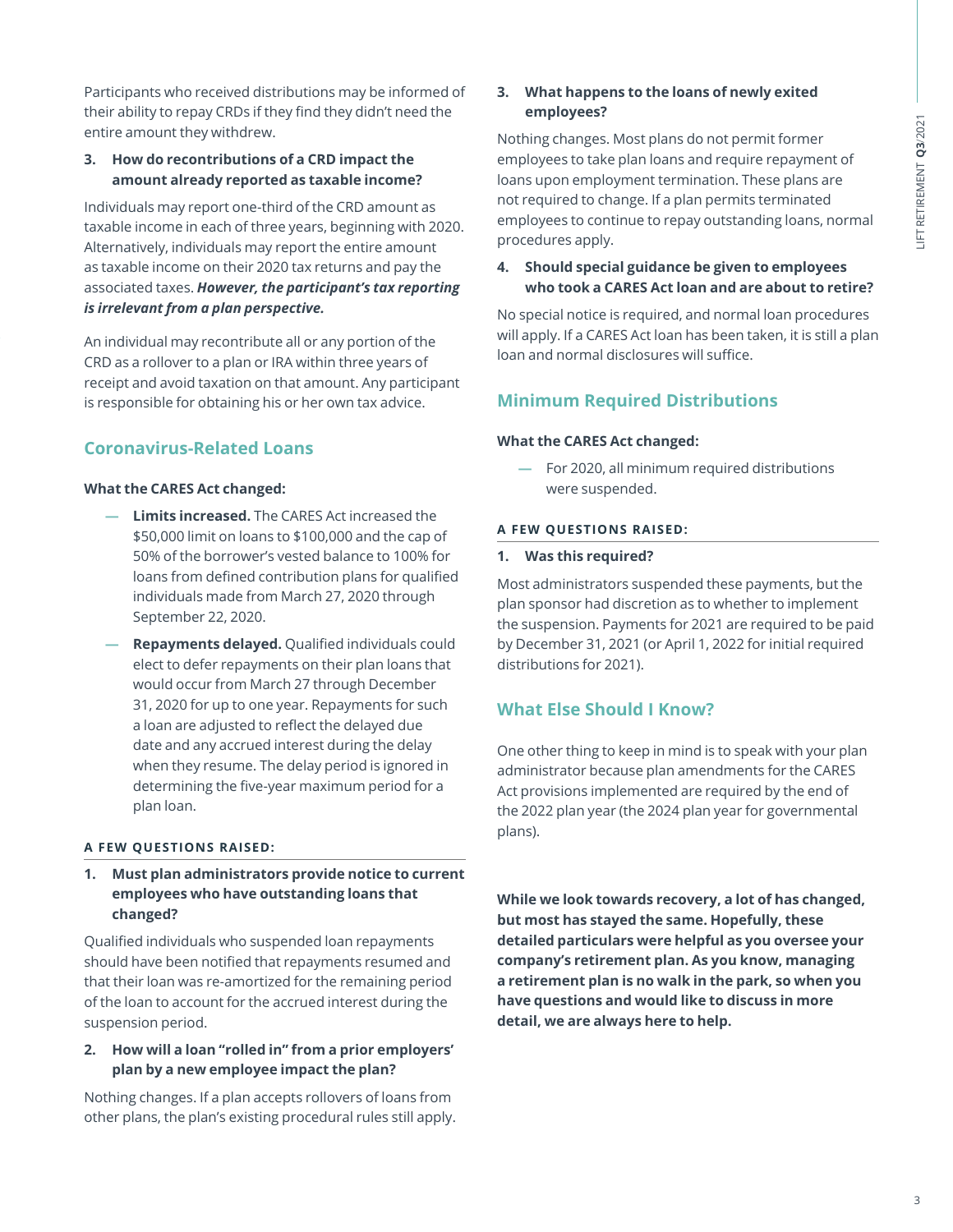Participants who received distributions may be informed of their ability to repay CRDs if they find they didn't need the entire amount they withdrew.

#### **3. How do recontributions of a CRD impact the amount already reported as taxable income?**

Individuals may report one-third of the CRD amount as taxable income in each of three years, beginning with 2020. Alternatively, individuals may report the entire amount as taxable income on their 2020 tax returns and pay the associated taxes. *However, the participant's tax reporting is irrelevant from a plan perspective.* 

An individual may recontribute all or any portion of the CRD as a rollover to a plan or IRA within three years of receipt and avoid taxation on that amount. Any participant is responsible for obtaining his or her own tax advice.

## **Coronavirus-Related Loans**

#### **What the CARES Act changed:**

- **— Limits increased.** The CARES Act increased the \$50,000 limit on loans to \$100,000 and the cap of 50% of the borrower's vested balance to 100% for loans from defined contribution plans for qualified individuals made from March 27, 2020 through September 22, 2020.
- **— Repayments delayed.** Qualified individuals could elect to defer repayments on their plan loans that would occur from March 27 through December 31, 2020 for up to one year. Repayments for such a loan are adjusted to reflect the delayed due date and any accrued interest during the delay when they resume. The delay period is ignored in determining the five-year maximum period for a plan loan.

#### **A FEW QUESTIONS RAISED:**

**1. Must plan administrators provide notice to current employees who have outstanding loans that changed?** 

Qualified individuals who suspended loan repayments should have been notified that repayments resumed and that their loan was re-amortized for the remaining period of the loan to account for the accrued interest during the suspension period.

#### **2. How will a loan "rolled in" from a prior employers' plan by a new employee impact the plan?**

Nothing changes. If a plan accepts rollovers of loans from other plans, the plan's existing procedural rules still apply.

#### **3. What happens to the loans of newly exited employees?**

Nothing changes. Most plans do not permit former employees to take plan loans and require repayment of loans upon employment termination. These plans are not required to change. If a plan permits terminated employees to continue to repay outstanding loans, normal procedures apply.

#### **4. Should special guidance be given to employees who took a CARES Act loan and are about to retire?**

No special notice is required, and normal loan procedures will apply. If a CARES Act loan has been taken, it is still a plan loan and normal disclosures will suffice.

## **Minimum Required Distributions**

#### **What the CARES Act changed:**

**—** For 2020, all minimum required distributions were suspended.

#### **A FEW QUESTIONS RAISED:**

#### **1. Was this required?**

Most administrators suspended these payments, but the plan sponsor had discretion as to whether to implement the suspension. Payments for 2021 are required to be paid by December 31, 2021 (or April 1, 2022 for initial required distributions for 2021).

### **What Else Should I Know?**

One other thing to keep in mind is to speak with your plan administrator because plan amendments for the CARES Act provisions implemented are required by the end of the 2022 plan year (the 2024 plan year for governmental plans).

**While we look towards recovery, a lot of has changed, but most has stayed the same. Hopefully, these detailed particulars were helpful as you oversee your company's retirement plan. As you know, managing a retirement plan is no walk in the park, so when you have questions and would like to discuss in more detail, we are always here to help.**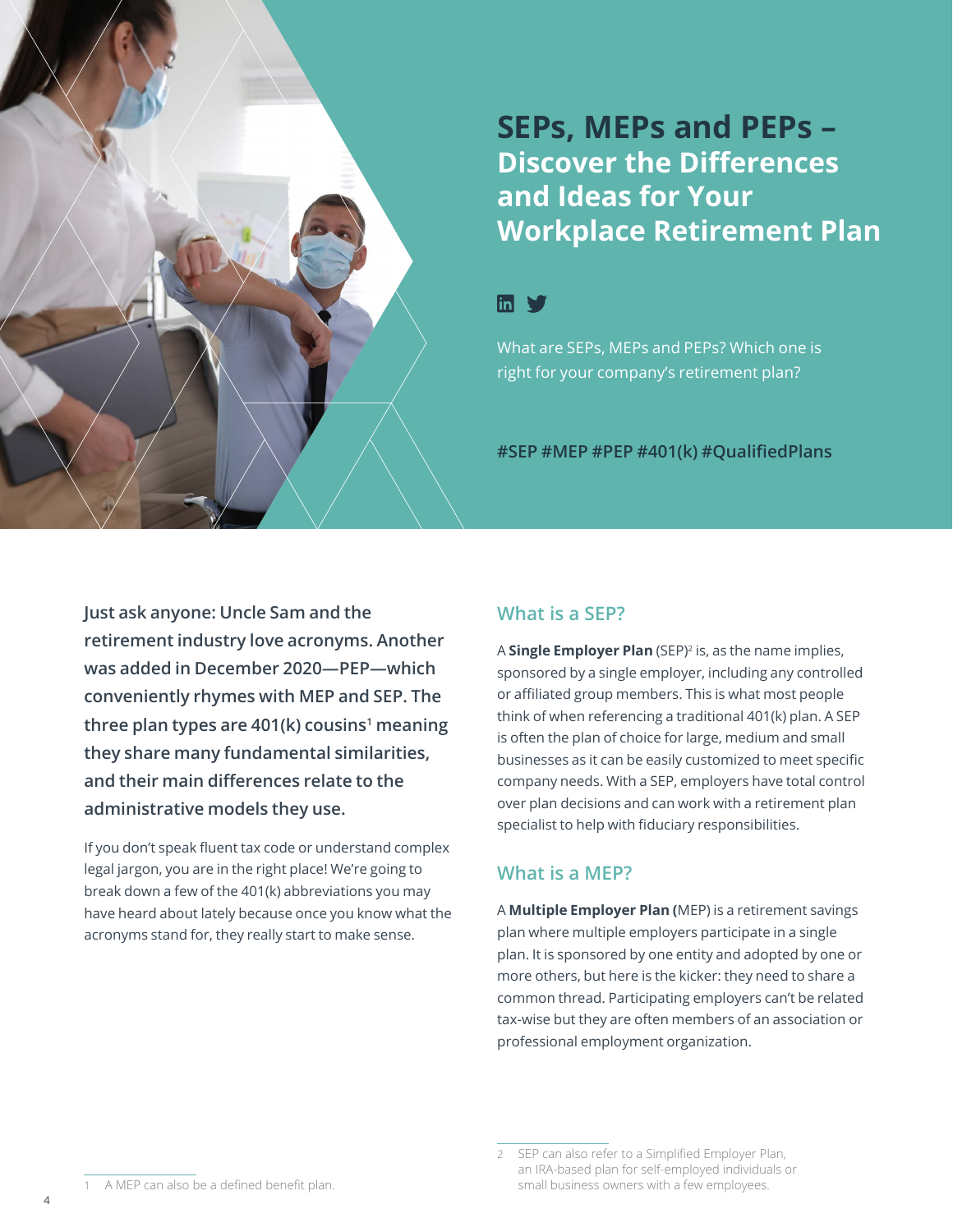## **SEPs, MEPs and PEPs – Discover the Differences and Ideas for Your Workplace Retirement Plan**

## $\mathsf{lin} \blacktriangleright$

What are SEPs, MEPs and PEPs? Which one is right for your company's retirement plan?

**#SEP #MEP #PEP #401(k) #QualifiedPlans**

**Just ask anyone: Uncle Sam and the retirement industry love acronyms. Another was added in December 2020—PEP—which conveniently rhymes with MEP and SEP. The**  three plan types are 401(k) cousins<sup>1</sup> meaning **they share many fundamental similarities, and their main differences relate to the administrative models they use.** 

If you don't speak fluent tax code or understand complex legal jargon, you are in the right place! We're going to break down a few of the 401(k) abbreviations you may have heard about lately because once you know what the acronyms stand for, they really start to make sense.

## **What is a SEP?**

A **Single Employer Plan** (SEP)2 is, as the name implies, sponsored by a single employer, including any controlled or affiliated group members. This is what most people think of when referencing a traditional 401(k) plan. A SEP is often the plan of choice for large, medium and small businesses as it can be easily customized to meet specific company needs. With a SEP, employers have total control over plan decisions and can work with a retirement plan specialist to help with fiduciary responsibilities.

## **What is a MEP?**

A **Multiple Employer Plan (**MEP) is a retirement savings plan where multiple employers participate in a single plan. It is sponsored by one entity and adopted by one or more others, but here is the kicker: they need to share a common thread. Participating employers can't be related tax-wise but they are often members of an association or professional employment organization.

4

SEP can also refer to a Simplified Employer Plan, an IRA-based plan for self-employed individuals or small business owners with a few employees.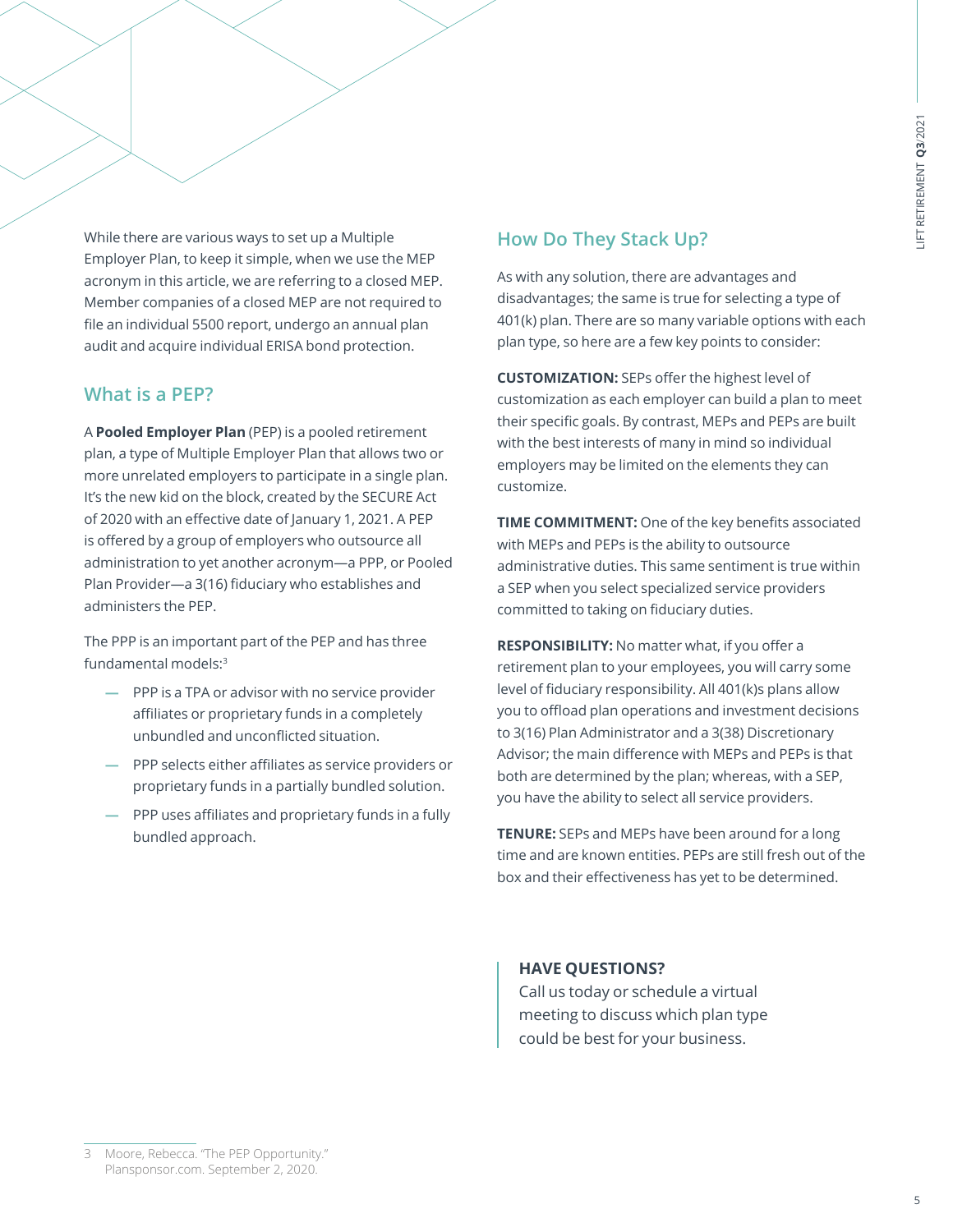While there are various ways to set up a Multiple Employer Plan, to keep it simple, when we use the MEP acronym in this article, we are referring to a closed MEP. Member companies of a closed MEP are not required to file an individual 5500 report, undergo an annual plan audit and acquire individual ERISA bond protection.

### **What is a PEP?**

A **Pooled Employer Plan** (PEP) is a pooled retirement plan, a type of Multiple Employer Plan that allows two or more unrelated employers to participate in a single plan. It's the new kid on the block, created by the SECURE Act of 2020 with an effective date of January 1, 2021. A PEP is offered by a group of employers who outsource all administration to yet another acronym—a PPP, or Pooled Plan Provider—a 3(16) fiduciary who establishes and administers the PEP.

The PPP is an important part of the PEP and has three fundamental models:<sup>3</sup>

- **—** PPP is a TPA or advisor with no service provider affiliates or proprietary funds in a completely unbundled and unconflicted situation.
- **—** PPP selects either affiliates as service providers or proprietary funds in a partially bundled solution.
- **—** PPP uses affiliates and proprietary funds in a fully bundled approach.

## **How Do They Stack Up?**

As with any solution, there are advantages and disadvantages; the same is true for selecting a type of 401(k) plan. There are so many variable options with each plan type, so here are a few key points to consider:

**CUSTOMIZATION:** SEPs offer the highest level of customization as each employer can build a plan to meet their specific goals. By contrast, MEPs and PEPs are built with the best interests of many in mind so individual employers may be limited on the elements they can customize.

**TIME COMMITMENT:** One of the key benefits associated with MEPs and PEPs is the ability to outsource administrative duties. This same sentiment is true within a SEP when you select specialized service providers committed to taking on fiduciary duties.

**RESPONSIBILITY:** No matter what, if you offer a retirement plan to your employees, you will carry some level of fiduciary responsibility. All 401(k)s plans allow you to offload plan operations and investment decisions to 3(16) Plan Administrator and a 3(38) Discretionary Advisor; the main difference with MEPs and PEPs is that both are determined by the plan; whereas, with a SEP, you have the ability to select all service providers.

**TENURE:** SEPs and MEPs have been around for a long time and are known entities. PEPs are still fresh out of the box and their effectiveness has yet to be determined.

#### **HAVE QUESTIONS?**

Call us today or schedule a virtual meeting to discuss which plan type could be best for your business.

3 Moore, Rebecca. "The PEP Opportunity." Plansponsor.com. September 2, 202[0.](https://www.plansponsor.com/in-depth/the-pep-opportunity/)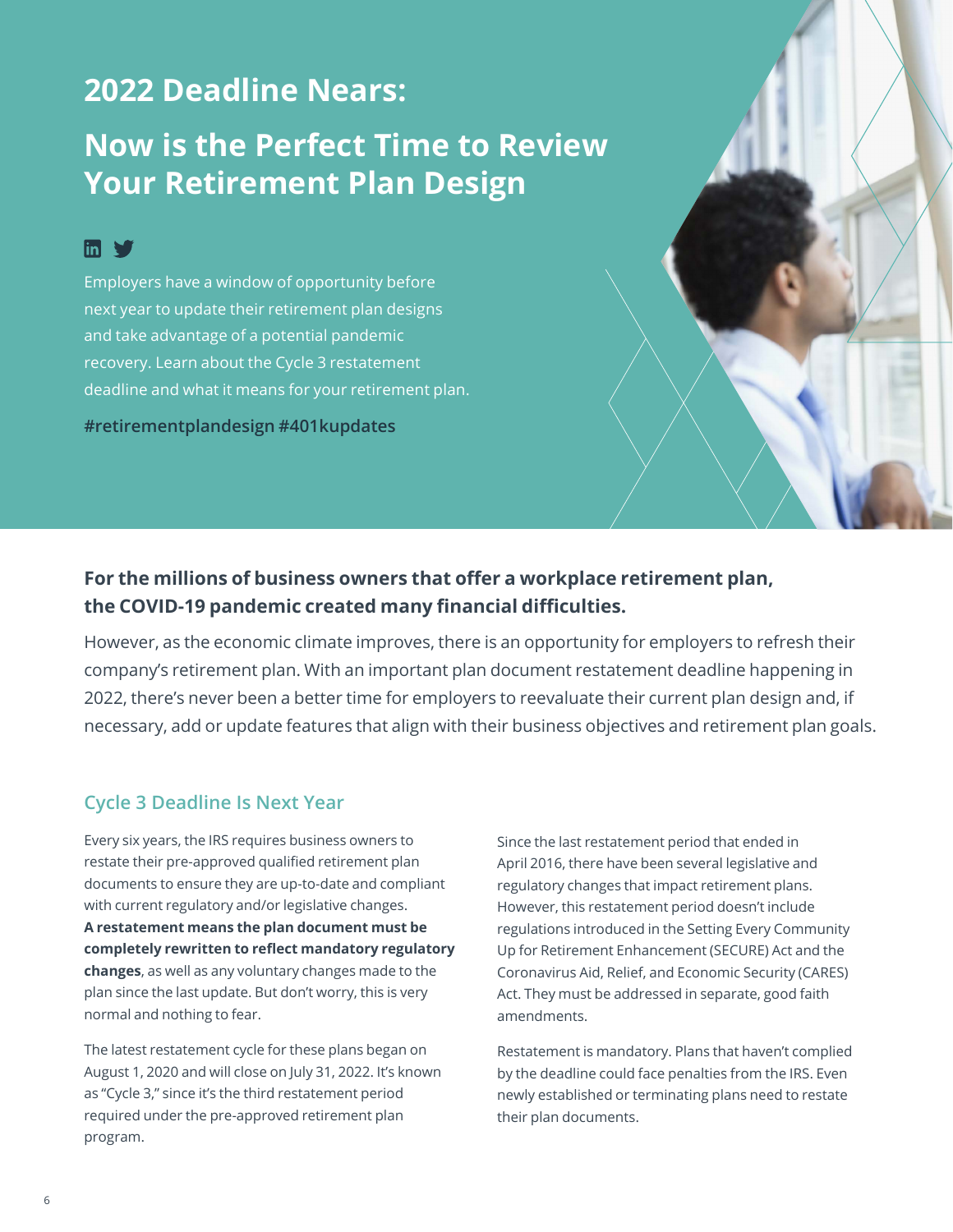## **2022 Deadline Nears:**

## **Now is the Perfect Time to Review Your Retirement Plan Design**

## **In V**

Employers have a window of opportunity before next year to update their retirement plan designs and take advantage of a potential pandemic recovery. Learn about the Cycle 3 restatement deadline and what it means for your retirement plan.

**#retirementplandesign #401kupdates** 

## **For the millions of business owners that offer a workplace retirement plan, the COVID-19 pandemic created many financial difficulties.**

However, as the economic climate improves, there is an opportunity for employers to refresh their company's retirement plan. With an important plan document restatement deadline happening in 2022, there's never been a better time for employers to reevaluate their current plan design and, if necessary, add or update features that align with their business objectives and retirement plan goals.

## **Cycle 3 Deadline Is Next Year**

Every six years, the IRS requires business owners to restate their pre-approved qualified retirement plan documents to ensure they are up-to-date and compliant with current regulatory and/or legislative changes. **A restatement means the plan document must be completely rewritten to reflect mandatory regulatory changes**, as well as any voluntary changes made to the plan since the last update. But don't worry, this is very normal and nothing to fear.

The latest restatement cycle for these plans began on August 1, 2020 and will close on July 31, 2022. It's known as "Cycle 3," since it's the third restatement period required under the pre-approved retirement plan program.

Since the last restatement period that ended in April 2016, there have been several legislative and regulatory changes that impact retirement plans. However, this restatement period doesn't include regulations introduced in the Setting Every Community Up for Retirement Enhancement (SECURE) Act and the Coronavirus Aid, Relief, and Economic Security (CARES) Act. They must be addressed in separate, good faith amendments.

Restatement is mandatory. Plans that haven't complied by the deadline could face penalties from the IRS. Even newly established or terminating plans need to restate their plan documents.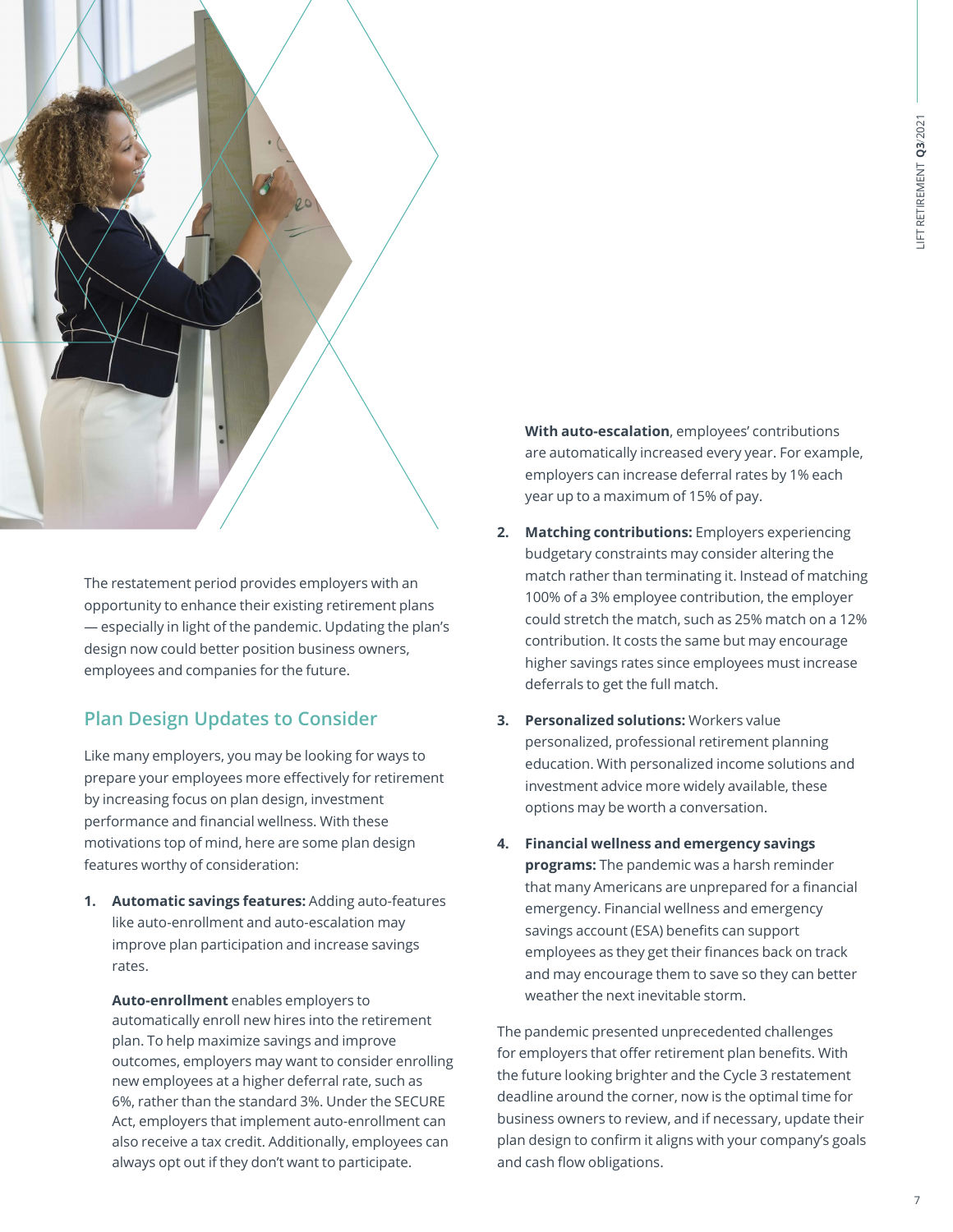

The restatement period provides employers with an opportunity to enhance their existing retirement plans — especially in light of the pandemic. Updating the plan's design now could better position business owners, employees and companies for the future.

## **Plan Design Updates to Consider**

Like many employers, you may be looking for ways to prepare your employees more effectively for retirement by increasing focus on plan design, investment performance and financial wellness. With these motivations top of mind, here are some plan design features worthy of consideration:

**1. Automatic savings features:** Adding auto-features like auto-enrollment and auto-escalation may improve plan participation and increase savings rates.

**Auto-enrollment** enables employers to automatically enroll new hires into the retirement plan. To help maximize savings and improve outcomes, employers may want to consider enrolling new employees at a higher deferral rate, such as 6%, rather than the standard 3%. Under the SECURE Act, employers that implement auto-enrollment can also receive a tax credit. Additionally, employees can always opt out if they don't want to participate.

**With auto-escalation**, employees' contributions are automatically increased every year. For example, employers can increase deferral rates by 1% each year up to a maximum of 15% of pay.

- **2. Matching contributions:** Employers experiencing budgetary constraints may consider altering the match rather than terminating it. Instead of matching 100% of a 3% employee contribution, the employer could stretch the match, such as 25% match on a 12% contribution. It costs the same but may encourage higher savings rates since employees must increase deferrals to get the full match.
- **3. Personalized solutions:** Workers value personalized, professional retirement planning education. With personalized income solutions and investment advice more widely available, these options may be worth a conversation.
- **4. Financial wellness and emergency savings programs:** The pandemic was a harsh reminder that many Americans are unprepared for a financial emergency. Financial wellness and emergency savings account (ESA) benefits can support employees as they get their finances back on track and may encourage them to save so they can better weather the next inevitable storm.

The pandemic presented unprecedented challenges for employers that offer retirement plan benefits. With the future looking brighter and the Cycle 3 restatement deadline around the corner, now is the optimal time for business owners to review, and if necessary, update their plan design to confirm it aligns with your company's goals and cash flow obligations.